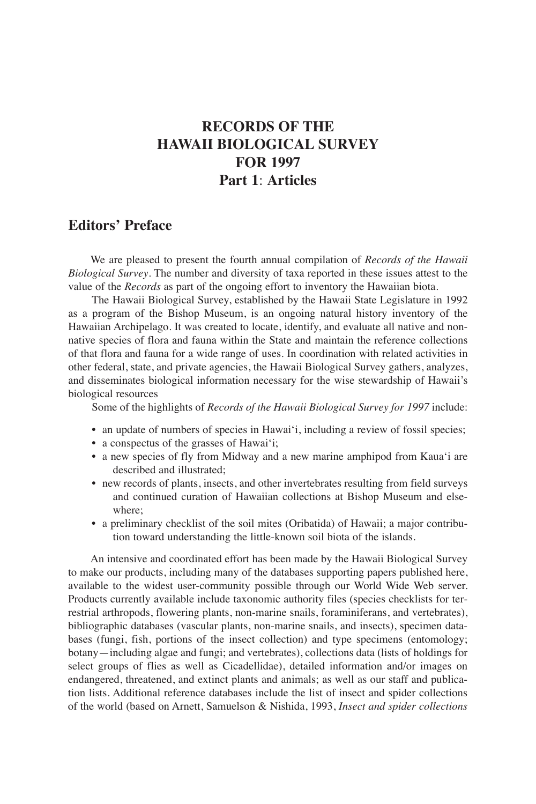# **RECORDS OF THE HAWAII BIOLOGICAL SURVEY FOR 1997 Part 1**: **Articles**

# **Editors' Preface**

We are pleased to present the fourth annual compilation of *Records of the Hawaii Biological Survey*. The number and diversity of taxa reported in these issues attest to the value of the *Records* as part of the ongoing effort to inventory the Hawaiian biota.

The Hawaii Biological Survey, established by the Hawaii State Legislature in 1992 as a program of the Bishop Museum, is an ongoing natural history inventory of the Hawaiian Archipelago. It was created to locate, identify, and evaluate all native and nonnative species of flora and fauna within the State and maintain the reference collections of that flora and fauna for a wide range of uses. In coordination with related activities in other federal, state, and private agencies, the Hawaii Biological Survey gathers, analyzes, and disseminates biological information necessary for the wise stewardship of Hawaii's biological resources

Some of the highlights of *Records of the Hawaii Biological Survey for 1997* include:

- an update of numbers of species in Hawai'i, including a review of fossil species;
- a conspectus of the grasses of Hawai'i;
- a new species of fly from Midway and a new marine amphipod from Kaua'i are described and illustrated;
- new records of plants, insects, and other invertebrates resulting from field surveys and continued curation of Hawaiian collections at Bishop Museum and elsewhere;
- a preliminary checklist of the soil mites (Oribatida) of Hawaii; a major contribution toward understanding the little-known soil biota of the islands.

An intensive and coordinated effort has been made by the Hawaii Biological Survey to make our products, including many of the databases supporting papers published here, available to the widest user-community possible through our World Wide Web server. Products currently available include taxonomic authority files (species checklists for terrestrial arthropods, flowering plants, non-marine snails, foraminiferans, and vertebrates), bibliographic databases (vascular plants, non-marine snails, and insects), specimen databases (fungi, fish, portions of the insect collection) and type specimens (entomology; botany—including algae and fungi; and vertebrates), collections data (lists of holdings for select groups of flies as well as Cicadellidae), detailed information and/or images on endangered, threatened, and extinct plants and animals; as well as our staff and publication lists. Additional reference databases include the list of insect and spider collections of the world (based on Arnett, Samuelson & Nishida, 1993, *Insect and spider collections*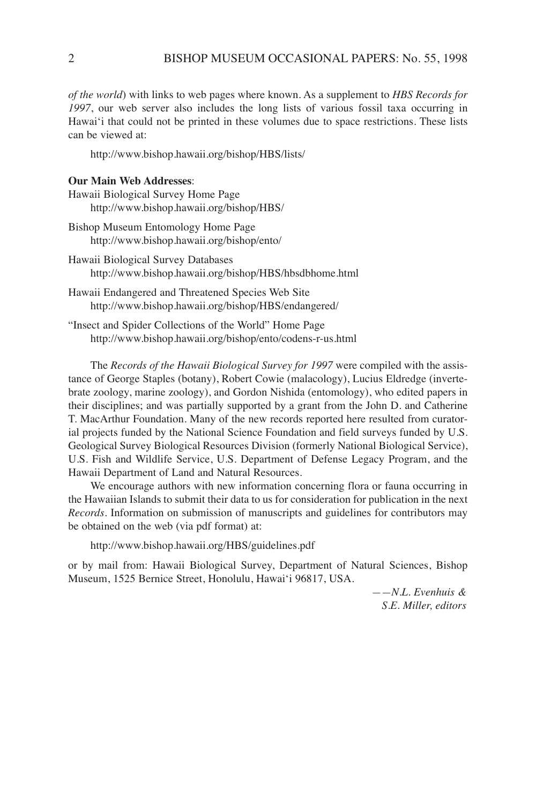*of the world*) with links to web pages where known. As a supplement to *HBS Records for 1997*, our web server also includes the long lists of various fossil taxa occurring in Hawai'i that could not be printed in these volumes due to space restrictions. These lists can be viewed at:

http://www.bishop.hawaii.org/bishop/HBS/lists/

## **Our Main Web Addresses**:

Hawaii Biological Survey Home Page http://www.bishop.hawaii.org/bishop/HBS/

Bishop Museum Entomology Home Page http://www.bishop.hawaii.org/bishop/ento/

Hawaii Biological Survey Databases http://www.bishop.hawaii.org/bishop/HBS/hbsdbhome.html

Hawaii Endangered and Threatened Species Web Site http://www.bishop.hawaii.org/bishop/HBS/endangered/

"Insect and Spider Collections of the World" Home Page http://www.bishop.hawaii.org/bishop/ento/codens-r-us.html

The *Records of the Hawaii Biological Survey for 1997* were compiled with the assistance of George Staples (botany), Robert Cowie (malacology), Lucius Eldredge (invertebrate zoology, marine zoology), and Gordon Nishida (entomology), who edited papers in their disciplines; and was partially supported by a grant from the John D. and Catherine T. MacArthur Foundation. Many of the new records reported here resulted from curatorial projects funded by the National Science Foundation and field surveys funded by U.S. Geological Survey Biological Resources Division (formerly National Biological Service), U.S. Fish and Wildlife Service, U.S. Department of Defense Legacy Program, and the Hawaii Department of Land and Natural Resources.

We encourage authors with new information concerning flora or fauna occurring in the Hawaiian Islands to submit their data to us for consideration for publication in the next *Records.* Information on submission of manuscripts and guidelines for contributors may be obtained on the web (via pdf format) at:

http://www.bishop.hawaii.org/HBS/guidelines.pdf

or by mail from: Hawaii Biological Survey, Department of Natural Sciences, Bishop Museum, 1525 Bernice Street, Honolulu, Hawai'i 96817, USA.

> *——N.L. Evenhuis & S.E. Miller, editors*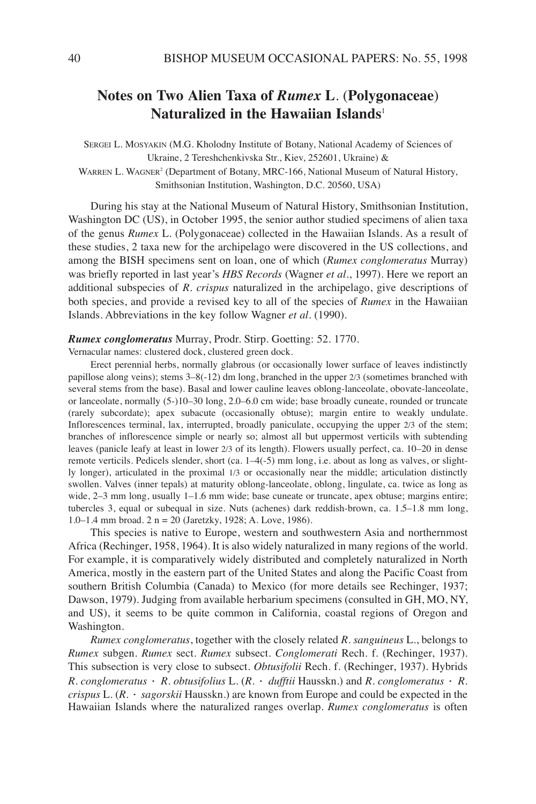# **Notes on Two Alien Taxa of** *Rumex* **L**. (**Polygonaceae**) **Naturalized in the Hawaiian Islands**<sup>1</sup>

SERGEI L. MOSYAKIN (M.G. Kholodny Institute of Botany, National Academy of Sciences of Ukraine, 2 Tereshchenkivska Str., Kiev, 252601, Ukraine) & WARREN L. WAGNER<sup>2</sup> (Department of Botany, MRC-166, National Museum of Natural History, Smithsonian Institution, Washington, D.C. 20560, USA)

During his stay at the National Museum of Natural History, Smithsonian Institution, Washington DC (US), in October 1995, the senior author studied specimens of alien taxa of the genus *Rumex* L. (Polygonaceae) collected in the Hawaiian Islands. As a result of these studies, 2 taxa new for the archipelago were discovered in the US collections, and among the BISH specimens sent on loan, one of which (*Rumex conglomeratus* Murray) was briefly reported in last year's *HBS Records* (Wagner *et al.*, 1997)*.* Here we report an additional subspecies of *R. crispus* naturalized in the archipelago, give descriptions of both species, and provide a revised key to all of the species of *Rumex* in the Hawaiian Islands. Abbreviations in the key follow Wagner *et al.* (1990).

#### *Rumex conglomeratus* Murray, Prodr. Stirp. Goetting: 52. 1770.

Vernacular names: clustered dock, clustered green dock.

Erect perennial herbs, normally glabrous (or occasionally lower surface of leaves indistinctly papillose along veins); stems 3–8(-12) dm long, branched in the upper 2/3 (sometimes branched with several stems from the base). Basal and lower cauline leaves oblong-lanceolate, obovate-lanceolate, or lanceolate, normally (5-)10–30 long, 2.0–6.0 cm wide; base broadly cuneate, rounded or truncate (rarely subcordate); apex subacute (occasionally obtuse); margin entire to weakly undulate. Inflorescences terminal, lax, interrupted, broadly paniculate, occupying the upper 2/3 of the stem; branches of inflorescence simple or nearly so; almost all but uppermost verticils with subtending leaves (panicle leafy at least in lower 2/3 of its length). Flowers usually perfect, ca. 10–20 in dense remote verticils. Pedicels slender, short (ca. 1–4(-5) mm long, i.e. about as long as valves, or slightly longer), articulated in the proximal 1/3 or occasionally near the middle; articulation distinctly swollen. Valves (inner tepals) at maturity oblong-lanceolate, oblong, lingulate, ca. twice as long as wide, 2–3 mm long, usually 1–1.6 mm wide; base cuneate or truncate, apex obtuse; margins entire; tubercles 3, equal or subequal in size. Nuts (achenes) dark reddish-brown, ca. 1.5–1.8 mm long, 1.0–1.4 mm broad. 2 n = 20 (Jaretzky, 1928; A. Love, 1986).

This species is native to Europe, western and southwestern Asia and northernmost Africa (Rechinger, 1958, 1964). It is also widely naturalized in many regions of the world. For example, it is comparatively widely distributed and completely naturalized in North America, mostly in the eastern part of the United States and along the Pacific Coast from southern British Columbia (Canada) to Mexico (for more details see Rechinger, 1937; Dawson, 1979). Judging from available herbarium specimens (consulted in GH, MO, NY, and US), it seems to be quite common in California, coastal regions of Oregon and Washington.

*Rumex conglomeratus*, together with the closely related *R. sanguineus* L., belongs to *Rumex* subgen. *Rumex* sect. *Rumex* subsect. *Conglomerati* Rech. f. (Rechinger, 1937). This subsection is very close to subsect. *Obtusifolii* Rech. f. (Rechinger, 1937). Hybrids *R. conglomeratus* · *R. obtusifolius* L.  $(R. \cdot d$ *ufftii* Hausskn.) and  $R.$  *conglomeratus* ·  $R.$ *crispus* L. (*R.* · *sagorskii* Hausskn.) are known from Europe and could be expected in the Hawaiian Islands where the naturalized ranges overlap. *Rumex conglomeratus* is often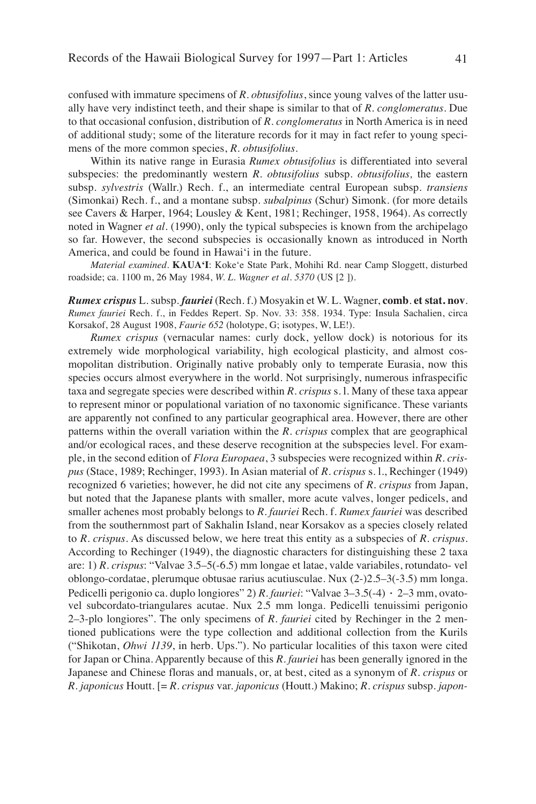confused with immature specimens of *R. obtusifolius*, since young valves of the latter usually have very indistinct teeth, and their shape is similar to that of *R. conglomeratus*. Due to that occasional confusion, distribution of *R. conglomeratus* in North America is in need of additional study; some of the literature records for it may in fact refer to young specimens of the more common species, *R. obtusifolius*.

Within its native range in Eurasia *Rumex obtusifolius* is differentiated into several subspecies: the predominantly western *R. obtusifolius* subsp. *obtusifolius,* the eastern subsp. *sylvestris* (Wallr.) Rech. f., an intermediate central European subsp. *transiens* (Simonkai) Rech. f., and a montane subsp. *subalpinus* (Schur) Simonk. (for more details see Cavers & Harper, 1964; Lousley & Kent, 1981; Rechinger, 1958, 1964). As correctly noted in Wagner *et al.* (1990), only the typical subspecies is known from the archipelago so far. However, the second subspecies is occasionally known as introduced in North America, and could be found in Hawai'i in the future.

*Material examined.* **KAUA'I**: Koke'e State Park, Mohihi Rd. near Camp Sloggett, disturbed roadside; ca. 1100 m, 26 May 1984, *W. L. Wagner et al. 5370* (US [2 ]).

*Rumex crispus* L. subsp. *fauriei* (Rech. f.) Mosyakin et W. L. Wagner, **comb**. **et stat. nov**. *Rumex fauriei* Rech. f., in Feddes Repert. Sp. Nov. 33: 358. 1934. Type: Insula Sachalien, circa Korsakof, 28 August 1908, *Faurie 652* (holotype, G; isotypes, W, LE!).

*Rumex crispus* (vernacular names: curly dock, yellow dock) is notorious for its extremely wide morphological variability, high ecological plasticity, and almost cosmopolitan distribution. Originally native probably only to temperate Eurasia, now this species occurs almost everywhere in the world. Not surprisingly, numerous infraspecific taxa and segregate species were described within *R. crispus* s. l. Many of these taxa appear to represent minor or populational variation of no taxonomic significance. These variants are apparently not confined to any particular geographical area. However, there are other patterns within the overall variation within the *R. crispus* complex that are geographical and/or ecological races, and these deserve recognition at the subspecies level. For example, in the second edition of *Flora Europaea*, 3 subspecies were recognized within *R. crispus* (Stace, 1989; Rechinger, 1993). In Asian material of *R. crispus* s. l., Rechinger (1949) recognized 6 varieties; however, he did not cite any specimens of *R. crispus* from Japan, but noted that the Japanese plants with smaller, more acute valves, longer pedicels, and smaller achenes most probably belongs to *R. fauriei* Rech. f. *Rumex fauriei* was described from the southernmost part of Sakhalin Island, near Korsakov as a species closely related to *R. crispus*. As discussed below, we here treat this entity as a subspecies of *R. crispus*. According to Rechinger (1949), the diagnostic characters for distinguishing these 2 taxa are: 1) *R. crispus*: "Valvae 3.5–5(-6.5) mm longae et latae, valde variabiles, rotundato- vel oblongo-cordatae, plerumque obtusae rarius acutiusculae. Nux (2-)2.5–3(-3.5) mm longa. Pedicelli perigonio ca. duplo longiores" 2) *R. fauriei*: "Valvae 3–3.5(-4) · 2–3 mm, ovatovel subcordato-triangulares acutae. Nux 2.5 mm longa. Pedicelli tenuissimi perigonio 2–3-plo longiores". The only specimens of *R. fauriei* cited by Rechinger in the 2 mentioned publications were the type collection and additional collection from the Kurils ("Shikotan, *Ohwi 1139*, in herb. Ups."). No particular localities of this taxon were cited for Japan or China. Apparently because of this *R. fauriei* has been generally ignored in the Japanese and Chinese floras and manuals, or, at best, cited as a synonym of *R. crispus* or *R. japonicus* Houtt. [= *R. crispus* var. *japonicus* (Houtt.) Makino; *R. crispus* subsp. *japon-*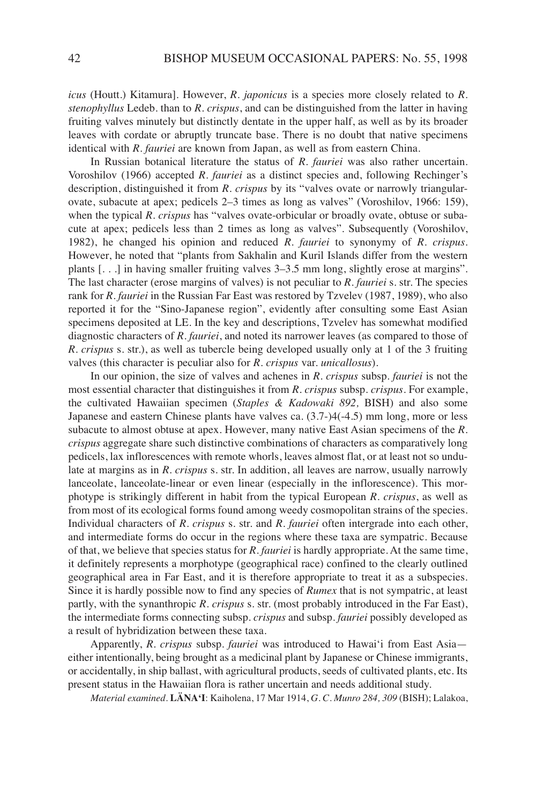*icus* (Houtt.) Kitamura]. However, *R. japonicus* is a species more closely related to *R. stenophyllus* Ledeb. than to *R. crispus*, and can be distinguished from the latter in having fruiting valves minutely but distinctly dentate in the upper half, as well as by its broader leaves with cordate or abruptly truncate base. There is no doubt that native specimens identical with *R. fauriei* are known from Japan, as well as from eastern China.

In Russian botanical literature the status of *R. fauriei* was also rather uncertain. Voroshilov (1966) accepted *R. fauriei* as a distinct species and, following Rechinger's description, distinguished it from *R. crispus* by its "valves ovate or narrowly triangularovate, subacute at apex; pedicels 2–3 times as long as valves" (Voroshilov, 1966: 159), when the typical *R. crispus* has "valves ovate-orbicular or broadly ovate, obtuse or subacute at apex; pedicels less than 2 times as long as valves". Subsequently (Voroshilov, 1982), he changed his opinion and reduced *R. fauriei* to synonymy of *R. crispus.* However, he noted that "plants from Sakhalin and Kuril Islands differ from the western plants [. . .] in having smaller fruiting valves 3–3.5 mm long, slightly erose at margins". The last character (erose margins of valves) is not peculiar to *R. fauriei* s. str. The species rank for *R. fauriei* in the Russian Far East was restored by Tzvelev (1987, 1989), who also reported it for the "Sino-Japanese region", evidently after consulting some East Asian specimens deposited at LE. In the key and descriptions, Tzvelev has somewhat modified diagnostic characters of *R. fauriei*, and noted its narrower leaves (as compared to those of *R. crispus* s. str.), as well as tubercle being developed usually only at 1 of the 3 fruiting valves (this character is peculiar also for *R. crispus* var. *unicallosus*).

In our opinion, the size of valves and achenes in *R. crispus* subsp. *fauriei* is not the most essential character that distinguishes it from *R. crispus* subsp. *crispus*. For example, the cultivated Hawaiian specimen (*Staples & Kadowaki 892,* BISH) and also some Japanese and eastern Chinese plants have valves ca. (3.7-)4(-4.5) mm long, more or less subacute to almost obtuse at apex. However, many native East Asian specimens of the *R. crispus* aggregate share such distinctive combinations of characters as comparatively long pedicels, lax inflorescences with remote whorls, leaves almost flat, or at least not so undulate at margins as in *R. crispus* s. str. In addition, all leaves are narrow, usually narrowly lanceolate, lanceolate-linear or even linear (especially in the inflorescence). This morphotype is strikingly different in habit from the typical European *R. crispus*, as well as from most of its ecological forms found among weedy cosmopolitan strains of the species. Individual characters of *R. crispus* s. str. and *R. fauriei* often intergrade into each other, and intermediate forms do occur in the regions where these taxa are sympatric. Because of that, we believe that species status for *R. fauriei* is hardly appropriate. At the same time, it definitely represents a morphotype (geographical race) confined to the clearly outlined geographical area in Far East, and it is therefore appropriate to treat it as a subspecies. Since it is hardly possible now to find any species of *Rumex* that is not sympatric, at least partly, with the synanthropic *R. crispus* s. str. (most probably introduced in the Far East), the intermediate forms connecting subsp. *crispus* and subsp. *fauriei* possibly developed as a result of hybridization between these taxa.

Apparently, *R. crispus* subsp. *fauriei* was introduced to Hawai'i from East Asia either intentionally, being brought as a medicinal plant by Japanese or Chinese immigrants, or accidentally, in ship ballast, with agricultural products, seeds of cultivated plants, etc. Its present status in the Hawaiian flora is rather uncertain and needs additional study.

*Material examined.* **LÄNA'I**: Kaiholena, 17 Mar 1914, *G. C. Munro 284, 309* (BISH); Lalakoa,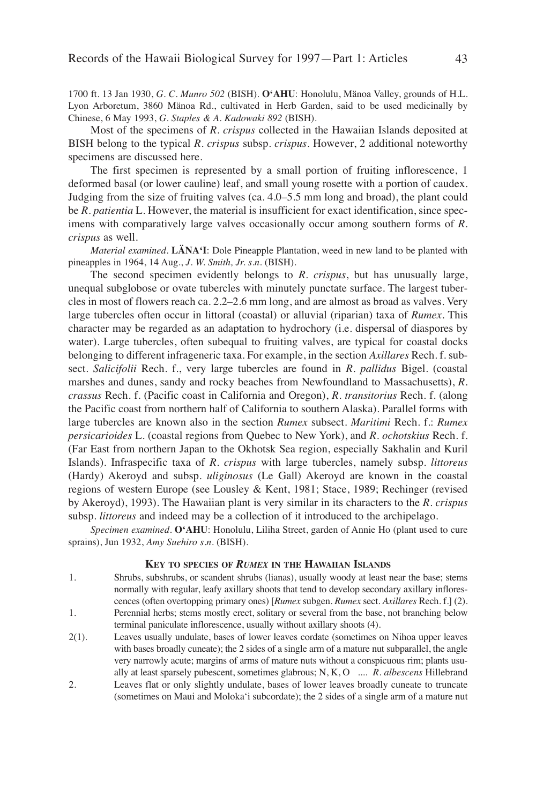1700 ft. 13 Jan 1930, *G. C. Munro 502* (BISH). **O'AHU**: Honolulu, Mänoa Valley, grounds of H.L. Lyon Arboretum, 3860 Mänoa Rd., cultivated in Herb Garden, said to be used medicinally by Chinese, 6 May 1993, *G. Staples & A. Kadowaki 892* (BISH).

Most of the specimens of *R. crispus* collected in the Hawaiian Islands deposited at BISH belong to the typical *R. crispus* subsp. *crispus*. However, 2 additional noteworthy specimens are discussed here.

The first specimen is represented by a small portion of fruiting inflorescence, 1 deformed basal (or lower cauline) leaf, and small young rosette with a portion of caudex. Judging from the size of fruiting valves (ca. 4.0–5.5 mm long and broad), the plant could be *R. patientia* L. However, the material is insufficient for exact identification, since specimens with comparatively large valves occasionally occur among southern forms of *R. crispus* as well.

*Material examined.* **LÄNA'I**: Dole Pineapple Plantation, weed in new land to be planted with pineapples in 1964, 14 Aug., *J. W. Smith, Jr. s.n.* (BISH).

The second specimen evidently belongs to *R. crispus*, but has unusually large, unequal subglobose or ovate tubercles with minutely punctate surface. The largest tubercles in most of flowers reach ca. 2.2–2.6 mm long, and are almost as broad as valves. Very large tubercles often occur in littoral (coastal) or alluvial (riparian) taxa of *Rumex*. This character may be regarded as an adaptation to hydrochory (i.e. dispersal of diaspores by water). Large tubercles, often subequal to fruiting valves, are typical for coastal docks belonging to different infrageneric taxa. For example, in the section *Axillares* Rech. f. subsect. *Salicifolii* Rech. f., very large tubercles are found in *R. pallidus* Bigel. (coastal marshes and dunes, sandy and rocky beaches from Newfoundland to Massachusetts), *R. crassus* Rech. f. (Pacific coast in California and Oregon), *R. transitorius* Rech. f. (along the Pacific coast from northern half of California to southern Alaska). Parallel forms with large tubercles are known also in the section *Rumex* subsect. *Maritimi* Rech. f.: *Rumex persicarioides* L. (coastal regions from Quebec to New York), and *R. ochotskius* Rech. f. (Far East from northern Japan to the Okhotsk Sea region, especially Sakhalin and Kuril Islands). Infraspecific taxa of *R. crispus* with large tubercles, namely subsp. *littoreus* (Hardy) Akeroyd and subsp. *uliginosus* (Le Gall) Akeroyd are known in the coastal regions of western Europe (see Lousley & Kent, 1981; Stace, 1989; Rechinger (revised by Akeroyd), 1993). The Hawaiian plant is very similar in its characters to the *R. crispus* subsp. *littoreus* and indeed may be a collection of it introduced to the archipelago.

*Specimen examined.* **O'AHU**: Honolulu, Liliha Street, garden of Annie Ho (plant used to cure sprains), Jun 1932, *Amy Suehiro s.n.* (BISH).

#### **KEY TO SPECIES OF** *RUMEX* **IN THE HAWAIIAN ISLANDS**

- 1. Shrubs, subshrubs, or scandent shrubs (lianas), usually woody at least near the base; stems normally with regular, leafy axillary shoots that tend to develop secondary axillary inflorescences (often overtopping primary ones) [*Rumex* subgen. *Rumex* sect. *Axillares* Rech. f.] (2).
- 1. Perennial herbs; stems mostly erect, solitary or several from the base, not branching below terminal paniculate inflorescence, usually without axillary shoots (4).
- 2(1). Leaves usually undulate, bases of lower leaves cordate (sometimes on Nihoa upper leaves with bases broadly cuneate); the 2 sides of a single arm of a mature nut subparallel, the angle very narrowly acute; margins of arms of mature nuts without a conspicuous rim; plants usually at least sparsely pubescent, sometimes glabrous; N, K, O *.... R. albescens* Hillebrand
- 2. Leaves flat or only slightly undulate, bases of lower leaves broadly cuneate to truncate (sometimes on Maui and Moloka'i subcordate); the 2 sides of a single arm of a mature nut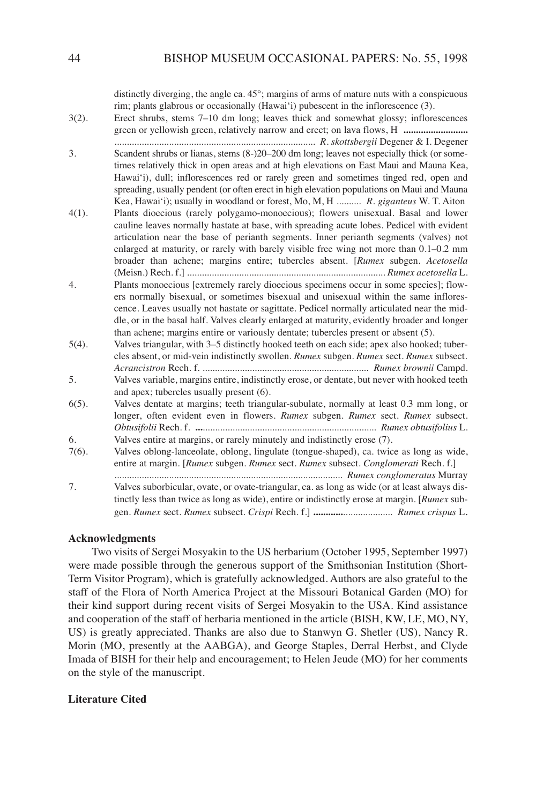## 44 BISHOP MUSEUM OCCASIONAL PAPERS: No. 55, 1998

distinctly diverging, the angle ca. 45°; margins of arms of mature nuts with a conspicuous rim; plants glabrous or occasionally (Hawai'i) pubescent in the inflorescence (3).

- 3(2). Erect shrubs, stems 7–10 dm long; leaves thick and somewhat glossy; inflorescences green or yellowish green, relatively narrow and erect; on lava flows, H **..........................** *................................................................................. R. skottsbergii* Degener & I. Degener 3. Scandent shrubs or lianas, stems (8-)20–200 dm long; leaves not especially thick (or sometimes relatively thick in open areas and at high elevations on East Maui and Mauna Kea, Hawai'i), dull; inflorescences red or rarely green and sometimes tinged red, open and spreading, usually pendent (or often erect in high elevation populations on Maui and Mauna Kea, Hawai'i); usually in woodland or forest, Mo, M, H *.......... R. giganteus* W. T. Aiton
- 4(1). Plants dioecious (rarely polygamo-monoecious); flowers unisexual. Basal and lower cauline leaves normally hastate at base, with spreading acute lobes. Pedicel with evident articulation near the base of perianth segments. Inner perianth segments (valves) not enlarged at maturity, or rarely with barely visible free wing not more than 0.1–0.2 mm broader than achene; margins entire; tubercles absent. [*Rumex* subgen. *Acetosella* (Meisn.) Rech. f.] *................................................................................ Rumex acetosella* L.
- 4. Plants monoecious [extremely rarely dioecious specimens occur in some species]; flowers normally bisexual, or sometimes bisexual and unisexual within the same inflorescence. Leaves usually not hastate or sagittate. Pedicel normally articulated near the middle, or in the basal half. Valves clearly enlarged at maturity, evidently broader and longer than achene; margins entire or variously dentate; tubercles present or absent (5).
- 5(4). Valves triangular, with 3–5 distinctly hooked teeth on each side; apex also hooked; tubercles absent, or mid-vein indistinctly swollen. *Rumex* subgen. *Rumex* sect. *Rumex* subsect. *Acrancistron* Rech. f. *................................................................... Rumex brownii* Campd. 5. Valves variable, margins entire, indistinctly erose, or dentate, but never with hooked teeth and apex; tubercles usually present (6).
- 6(5). Valves dentate at margins; teeth triangular-subulate, normally at least 0.3 mm long, or longer, often evident even in flowers. *Rumex* subgen. *Rumex* sect. *Rumex* subsect. *Obtusifolii* Rech. f. **...***...................................................................... Rumex obtusifolius* L. 6. Valves entire at margins, or rarely minutely and indistinctly erose (7).
- 7(6). Valves oblong-lanceolate, oblong, lingulate (tongue-shaped), ca. twice as long as wide, entire at margin. [*Rumex* subgen. *Rumex* sect. *Rumex* subsect. *Conglomerati* Rech. f.] *............................................................................................ Rumex conglomeratus* Murray 7. Valves suborbicular, ovate, or ovate-triangular, ca. as long as wide (or at least always distinctly less than twice as long as wide), entire or indistinctly erose at margin. [*Rumex* sub-

gen. *Rumex* sect. *Rumex* subsect. *Crispi* Rech. f.] **............***.................... Rumex crispus* L.

## **Acknowledgments**

Two visits of Sergei Mosyakin to the US herbarium (October 1995, September 1997) were made possible through the generous support of the Smithsonian Institution (Short-Term Visitor Program), which is gratefully acknowledged. Authors are also grateful to the staff of the Flora of North America Project at the Missouri Botanical Garden (MO) for their kind support during recent visits of Sergei Mosyakin to the USA. Kind assistance and cooperation of the staff of herbaria mentioned in the article (BISH, KW, LE, MO, NY, US) is greatly appreciated. Thanks are also due to Stanwyn G. Shetler (US), Nancy R. Morin (MO, presently at the AABGA), and George Staples, Derral Herbst, and Clyde Imada of BISH for their help and encouragement; to Helen Jeude (MO) for her comments on the style of the manuscript.

### **Literature Cited**